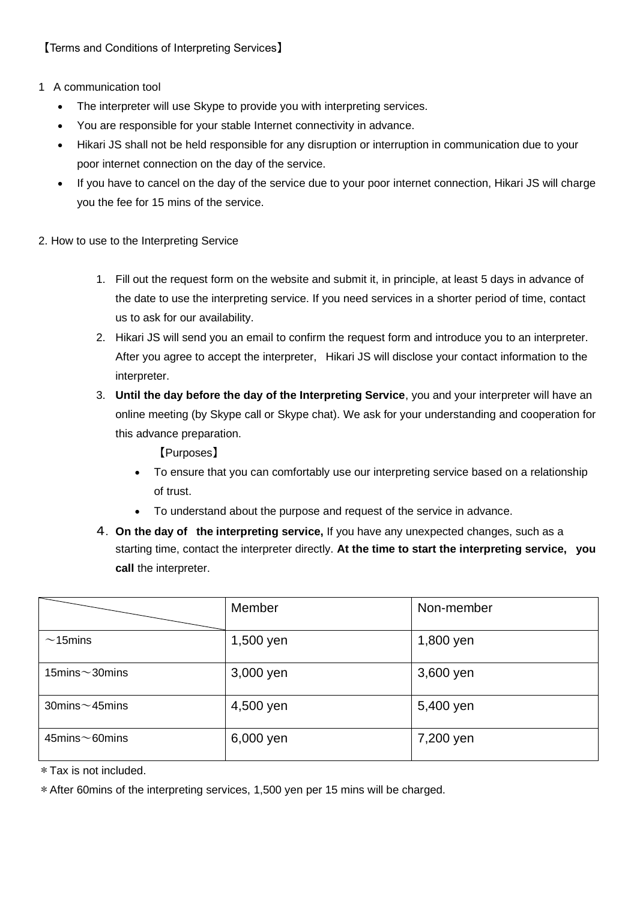## 1 A communication tool

- The interpreter will use Skype to provide you with interpreting services.
- You are responsible for your stable Internet connectivity in advance.
- Hikari JS shall not be held responsible for any disruption or interruption in communication due to your poor internet connection on the day of the service.
- If you have to cancel on the day of the service due to your poor internet connection, Hikari JS will charge you the fee for 15 mins of the service.
- 2. How to use to the Interpreting Service
	- 1. Fill out the request form on the website and submit it, in principle, at least 5 days in advance of the date to use the interpreting service. If you need services in a shorter period of time, contact us to ask for our availability.
	- 2. Hikari JS will send you an email to confirm the request form and introduce you to an interpreter. After you agree to accept the interpreter, Hikari JS will disclose your contact information to the interpreter.
	- 3. **Until the day before the day of the Interpreting Service**, you and your interpreter will have an online meeting (by Skype call or Skype chat). We ask for your understanding and cooperation for this advance preparation.

【Purposes】

- To ensure that you can comfortably use our interpreting service based on a relationship of trust.
- To understand about the purpose and request of the service in advance.
- 4. **On the day of the interpreting service,** If you have any unexpected changes, such as a starting time, contact the interpreter directly. **At the time to start the interpreting service, you call** the interpreter.

|                          | Member    | Non-member |
|--------------------------|-----------|------------|
| $\sim$ 15mins            | 1,500 yen | 1,800 yen  |
| 15 $mins \sim$ 30 $mins$ | 3,000 yen | 3,600 yen  |
| 30 $minus \sim$ 45 $min$ | 4,500 yen | 5,400 yen  |
| $45$ mins $\sim$ 60 mins | 6,000 yen | 7,200 yen  |

\*Tax is not included.

\*After 60mins of the interpreting services, 1,500 yen per 15 mins will be charged.